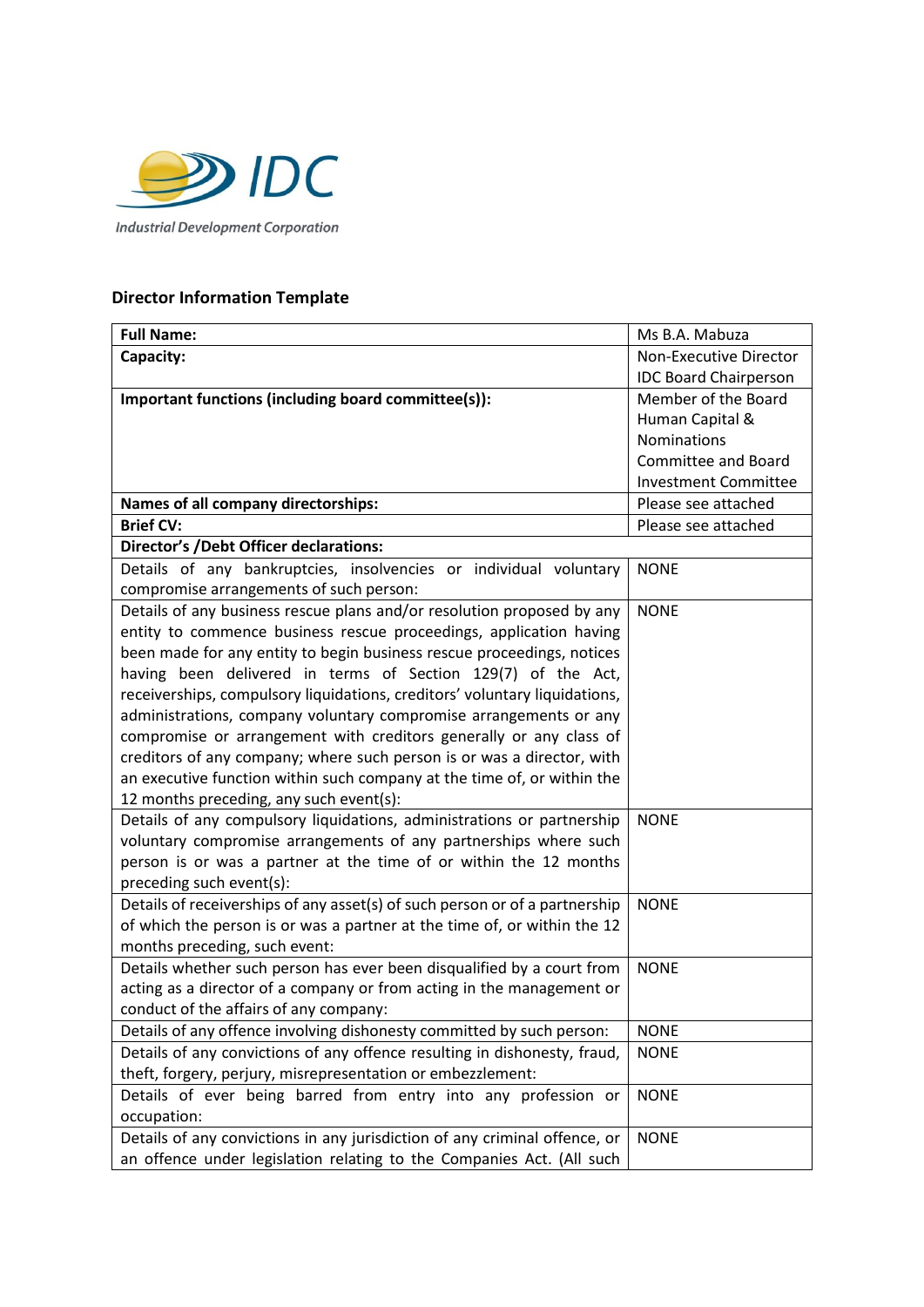

## **Director Information Template**

| <b>Full Name:</b>                                                           | Ms B.A. Mabuza               |
|-----------------------------------------------------------------------------|------------------------------|
| Capacity:                                                                   | Non-Executive Director       |
|                                                                             | <b>IDC Board Chairperson</b> |
| Important functions (including board committee(s)):                         | Member of the Board          |
|                                                                             | Human Capital &              |
|                                                                             | <b>Nominations</b>           |
|                                                                             | Committee and Board          |
|                                                                             | <b>Investment Committee</b>  |
| Names of all company directorships:                                         | Please see attached          |
| <b>Brief CV:</b>                                                            | Please see attached          |
| <b>Director's /Debt Officer declarations:</b>                               |                              |
| Details of any bankruptcies, insolvencies or individual voluntary           | <b>NONE</b>                  |
| compromise arrangements of such person:                                     |                              |
| Details of any business rescue plans and/or resolution proposed by any      | <b>NONE</b>                  |
| entity to commence business rescue proceedings, application having          |                              |
| been made for any entity to begin business rescue proceedings, notices      |                              |
| having been delivered in terms of Section 129(7) of the Act,                |                              |
| receiverships, compulsory liquidations, creditors' voluntary liquidations,  |                              |
| administrations, company voluntary compromise arrangements or any           |                              |
| compromise or arrangement with creditors generally or any class of          |                              |
| creditors of any company; where such person is or was a director, with      |                              |
| an executive function within such company at the time of, or within the     |                              |
| 12 months preceding, any such event(s):                                     |                              |
| Details of any compulsory liquidations, administrations or partnership      | <b>NONE</b>                  |
| voluntary compromise arrangements of any partnerships where such            |                              |
| person is or was a partner at the time of or within the 12 months           |                              |
| preceding such event(s):                                                    |                              |
| Details of receiverships of any asset(s) of such person or of a partnership | <b>NONE</b>                  |
| of which the person is or was a partner at the time of, or within the 12    |                              |
| months preceding, such event:                                               |                              |
| Details whether such person has ever been disqualified by a court from      | <b>NONE</b>                  |
| acting as a director of a company or from acting in the management or       |                              |
| conduct of the affairs of any company:                                      |                              |
| Details of any offence involving dishonesty committed by such person:       | <b>NONE</b>                  |
| Details of any convictions of any offence resulting in dishonesty, fraud,   | <b>NONE</b>                  |
| theft, forgery, perjury, misrepresentation or embezzlement:                 |                              |
| Details of ever being barred from entry into any profession or              | <b>NONE</b>                  |
| occupation:                                                                 |                              |
| Details of any convictions in any jurisdiction of any criminal offence, or  | <b>NONE</b>                  |
| an offence under legislation relating to the Companies Act. (All such       |                              |